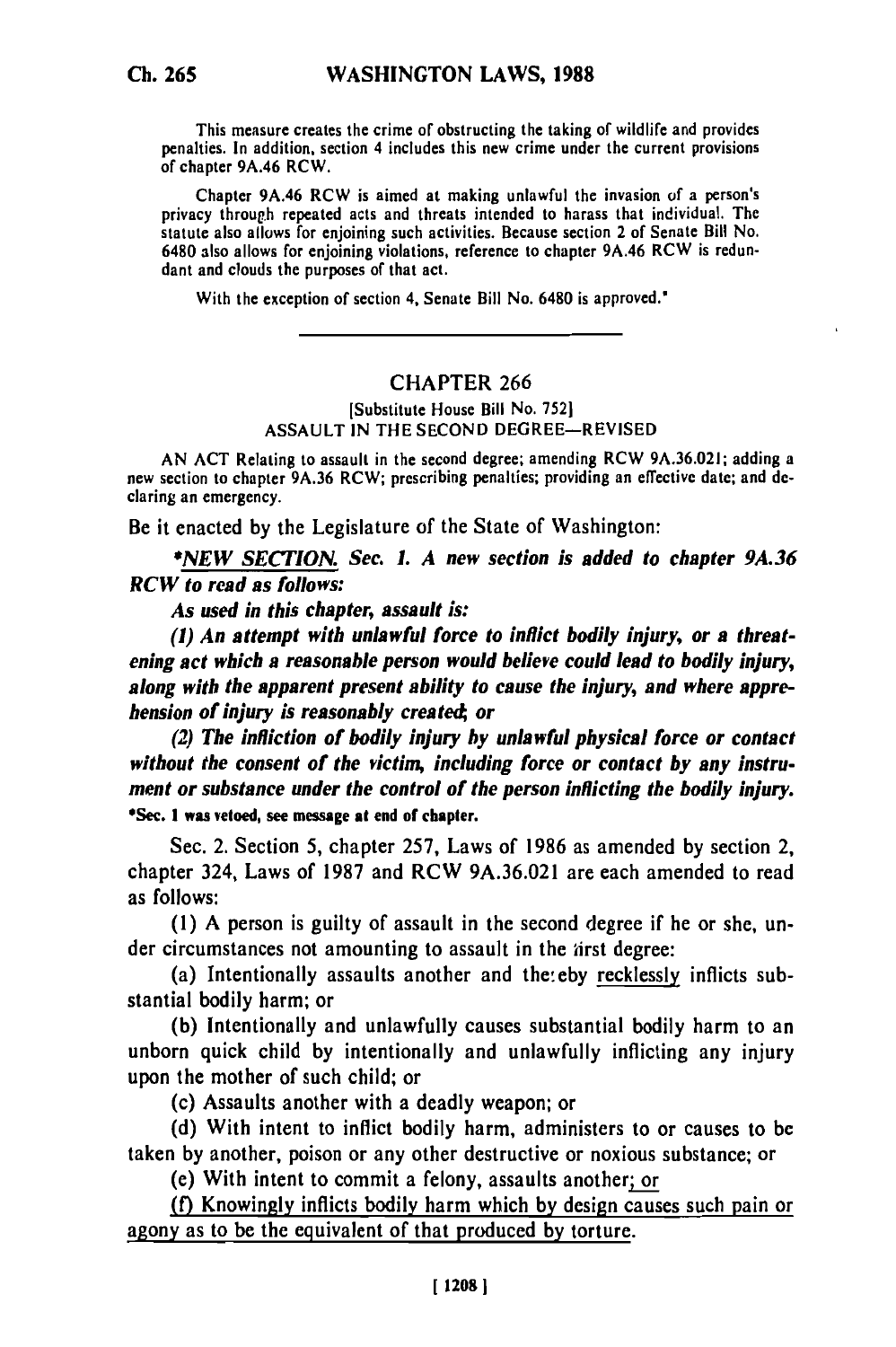This measure creates the crime of obstructing the taking of wildlife and provides penalties. In addition, section 4 includes this new crime under the current provisions of chapter 9A.46 RCW.

Chapter 9A.46 RCW is aimed at making unlawful the invasion **of** a person's privacy through repeated acts and threats intended to harass that individual. The statute also allows for enjoining such activities. Because section 2 of Senate Bill No. 6480 also allows for enjoining violations, reference to chapter 9A.46 RCW is redundant and clouds the purposes of that act.

With the exception of section 4, Senate Bill No. 6480 is approved.<sup>\*</sup>

## **CHAPTER 266**

[Substitute House Bill No. **752] ASSAULT IN** THE **SECOND** DEGREE-REVISED

**AN ACT** Relating to assault in the second degree; amending RCW **9A.36.021;** adding a new section to chapter **9A.36** RCW; prescribing penalties; providing an effectivc date; and **de**claring an emergency.

Be it enacted **by** the Legislature of the State of Washington:

*\*NEW SECTION. Sec. 1. A new section is added to chapter 9A.36 RCW to read as follows:*

*As used in this chapter, assault is:*

*(1) An attempt with unlawful force to inflict bodily injury, or a threatening act which a reasonable person would believe could lead to bodily injury, along with the apparent present ability to cause the injury, and where apprehension of injury is reasonably created; or*

*(2) The infliction of bodily injury by unlawful physical force or contact without the consent of the victim, including force or contact by any instrument or substance under the control of the person inflicting the bodily injury.* **\$Sec. I was vetoed, see message at end of chapter.**

Sec. 2. Section **5,** chapter **257,** Laws of **1986** as amended **by** section 2, chapter 324, Laws of **1987** and RCW **9A.36.021** are each amended to read as follows:

**(1) A** person is guilty of assault in the second degree if he or she, under circumstances not amounting to assault in the **irst** degree:

(a) Intentionally assaults another and the:eby recklessly inflicts substantial bodily harm; or

**(b)** Intentionally and unlawfully causes substantial bodily harm to an unborn quick child **by** intentionally and unlawfully inflicting any injury upon the mother of such child; or

(c) Assaults another with a deadly weapon; or

**(d)** With intent to inflict bodily harm, administers to or causes to be taken **by** another, poison or any other destructive or noxious substance; or

 $(e)$  With intent to commit a felony, assaults another; or

**(f)** Knowingly inflicts bodily harm which **by** design causes such pain or agony as to be the equivalent of that produced **by** torture.